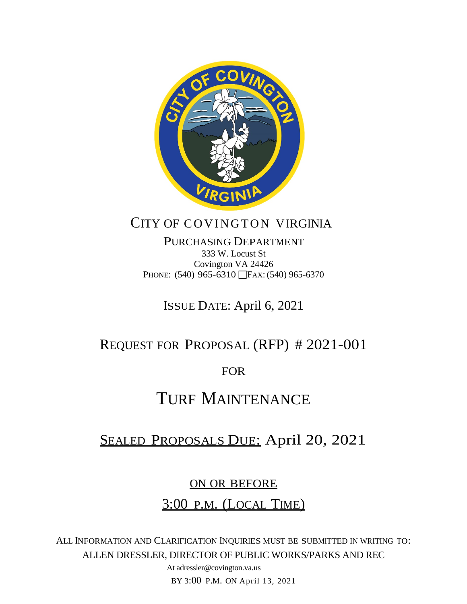

## CITY OF COVINGTON VIRGINIA

PURCHASING DEPARTMENT 333 W. Locust St Covington VA 24426 PHONE: (540) 965-6310 FAX: (540) 965-6370

ISSUE DATE: April 6, 2021

## REQUEST FOR PROPOSAL (RFP) # 2021-001

FOR

# TURF MAINTENANCE

# SEALED PROPOSALS DUE: April 20, 2021

### ON OR BEFORE

### 3:00 P.M. (LOCAL TIME)

ALL INFORMATION AND CLARIFICATION INQUIRIES MUST BE SUBMITTED IN WRITING TO: ALLEN DRESSLER, DIRECTOR OF PUBLIC WORKS/PARKS AND REC

> At adressler@covington.va.us BY 3:00 P.M. ON April 13, 2021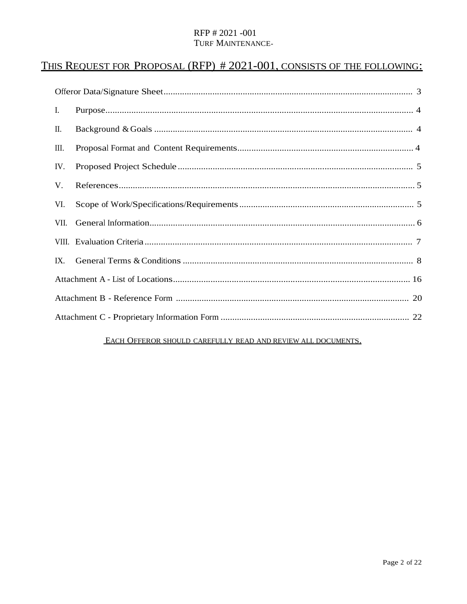### THIS REQUEST FOR PROPOSAL (RFP) # 2021-001, CONSISTS OF THE FOLLOWING:

| I.   |  |
|------|--|
| П.   |  |
| Ш.   |  |
| IV.  |  |
| V.   |  |
| VI.  |  |
| VII. |  |
|      |  |
| IX.  |  |
|      |  |
|      |  |
|      |  |

#### EACH OFFEROR SHOULD CAREFULLY READ AND REVIEW ALL DOCUMENTS.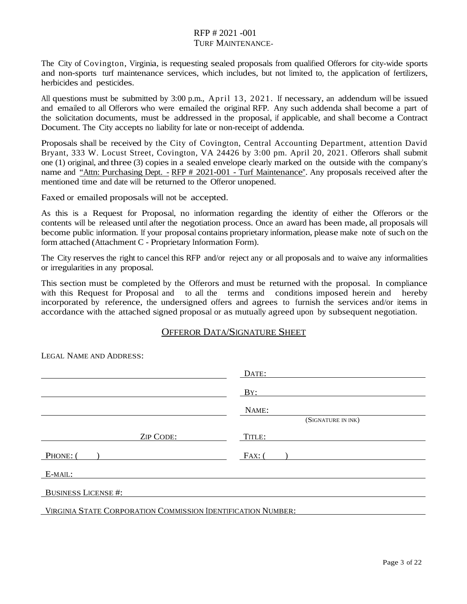The City of Covington, Virginia, is requesting sealed proposals from qualified Offerors for city-wide sports and non-sports turf maintenance services, which includes, but not limited to, the application of fertilizers, herbicides and pesticides.

All questions must be submitted by 3:00 p.m., April 13, 2021. If necessary, an addendum will be issued and emailed to all Offerors who were emailed the original RFP. Any such addenda shall become a part of the solicitation documents, must be addressed in the proposal, if applicable, and shall become a Contract Document. The City accepts no liability for late or non-receipt of addenda.

Proposals shall be received by the City of Covington, Central Accounting Department, attention David Bryant, 333 W. Locust Street, Covington, VA 24426 by 3:00 pm. April 20, 2021. Offerors shall submit one (1) original, and three (3) copiesin a sealed envelope clearly marked on the outside with the company's name and "Attn: Purchasing Dept. - RFP # 2021-001 - Turf Maintenance". Any proposals received after the mentioned time and date will be returned to the Offeror unopened.

Faxed or emailed proposals will not be accepted.

As this is a Request for Proposal, no information regarding the identity of either the Offerors or the contents will be released until after the negotiation process. Once an award has been made, all proposals will become public information. If your proposal contains proprietary information, please make note of such on the form attached (Attachment C - Proprietary Information Form).

The City reserves the right to cancel this RFP and/or reject any or all proposals and to waive any informalities or irregularities in any proposal.

This section must be completed by the Offerors and must be returned with the proposal. In compliance with this Request for Proposal and to all the terms and conditions imposed herein and hereby to all the terms and conditions imposed herein and hereby incorporated by reference, the undersigned offers and agrees to furnish the services and/or items in accordance with the attached signed proposal or as mutually agreed upon by subsequent negotiation.

#### OFFEROR DATA/SIGNATURE SHEET

|                                                              | DATE:              |
|--------------------------------------------------------------|--------------------|
|                                                              | BY:                |
|                                                              | NAME:              |
|                                                              | (SIGNATURE IN INK) |
| <b>ZIP CODE:</b>                                             | TITLE:             |
| PHONE: (                                                     | $FAX:$ (           |
| E-MAIL:                                                      |                    |
| <b>BUSINESS LICENSE#:</b>                                    |                    |
| VIRGINIA STATE CORPORATION COMMISSION IDENTIFICATION NUMBER: |                    |

LEGAL NAME AND ADDRESS: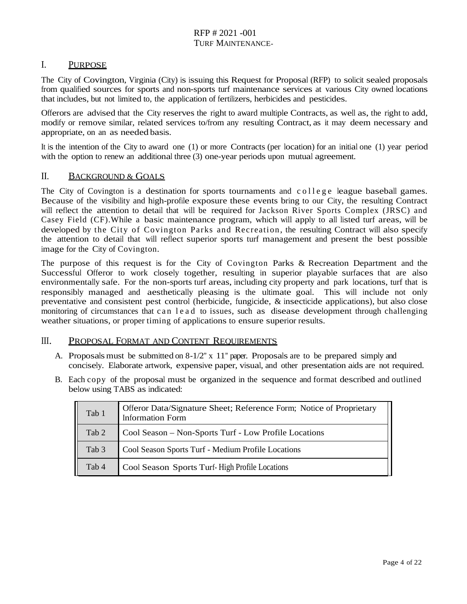#### I. PURPOSE

The City of Covington, Virginia (City) is issuing this Request for Proposal (RFP) to solicit sealed proposals from qualified sources for sports and non-sports turf maintenance services at various City owned locations that includes, but not limited to, the application of fertilizers, herbicides and pesticides.

Offerors are advised that the City reserves the right to award multiple Contracts, as well as, the right to add, modify or remove similar, related services to/from any resulting Contract, as it may deem necessary and appropriate, on an as needed basis.

It isthe intention of the City to award one (1) or more Contracts (per location) for an initial one (1) year period with the option to renew an additional three (3) one-year periods upon mutual agreement.

#### II. BACKGROUND & GOALS

The City of Covington is a destination for sports tournaments and college league baseball games. Because of the visibility and high-profile exposure these events bring to our City, the resulting Contract will reflect the attention to detail that will be required for Jackson River Sports Complex (JRSC) and Casey Field (CF).While a basic maintenance program, which will apply to all listed turf areas, will be developed by the City of Covington Parks and Recreation, the resulting Contract will also specify the attention to detail that will reflect superior sports turf management and present the best possible image for the City of Covington.

The purpose of this request is for the City of Covington Parks & Recreation Department and the Successful Offeror to work closely together, resulting in superior playable surfaces that are also environmentally safe. For the non-sports turf areas, including city property and park locations, turf that is responsibly managed and aesthetically pleasing is the ultimate goal. This will include not only preventative and consistent pest control (herbicide, fungicide, & insecticide applications), but also close monitoring of circumstances that can lead to issues, such as disease development through challenging weather situations, or proper timing of applications to ensure superior results.

#### III. PROPOSAL FORMAT AND CONTENT REQUIREMENTS

- A. Proposalsmust be submitted on  $8-1/2$ " x  $11$ " paper. Proposals are to be prepared simply and concisely. Elaborate artwork, expensive paper, visual, and other presentation aids are not required.
- B. Each copy of the proposal must be organized in the sequence and format described and outlined below using TABS as indicated:

| Tab 1            | Offeror Data/Signature Sheet; Reference Form; Notice of Proprietary<br><b>Information Form</b> |
|------------------|------------------------------------------------------------------------------------------------|
| Tab 2            | Cool Season – Non-Sports Turf - Low Profile Locations                                          |
| Tab <sub>3</sub> | Cool Season Sports Turf - Medium Profile Locations                                             |
| Tab 4            | Cool Season Sports Turf-High Profile Locations                                                 |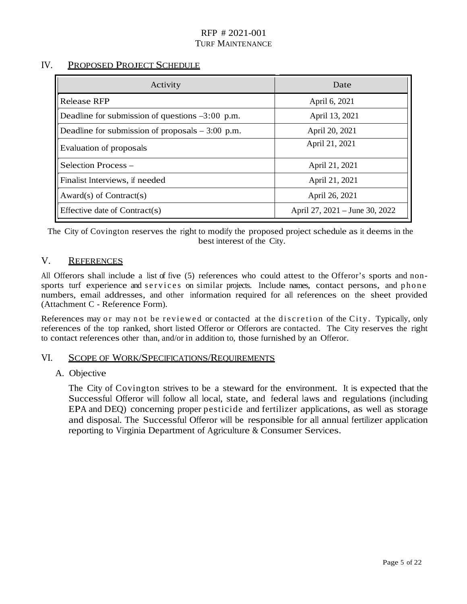#### IV. PROPOSED PROJECT SCHEDULE

| Activity                                          | Date                           |  |
|---------------------------------------------------|--------------------------------|--|
| Release RFP                                       | April 6, 2021                  |  |
| Deadline for submission of questions $-3:00$ p.m. | April 13, 2021                 |  |
| Deadline for submission of proposals $-3:00$ p.m. | April 20, 2021                 |  |
| Evaluation of proposals                           | April 21, 2021                 |  |
| Selection Process -                               | April 21, 2021                 |  |
| Finalist Interviews, if needed                    | April 21, 2021                 |  |
| Award(s) of Contract(s)                           | April 26, 2021                 |  |
| Effective date of Contract(s)                     | April 27, 2021 – June 30, 2022 |  |

The City of Covington reserves the right to modify the proposed project schedule as it deems in the best interest of the City.

#### V. REFERENCES

All Offerors shall include a list of five (5) references who could attest to the Offeror's sports and nonsports turf experience and services on similar projects. Include names, contact persons, and phone numbers, email addresses, and other information required for all references on the sheet provided (Attachment C - Reference Form).

References may or may not be reviewed or contacted at the discretion of the City. Typically, only references of the top ranked, short listed Offeror or Offerors are contacted. The City reserves the right to contact references other than, and/or in addition to, those furnished by an Offeror.

#### VI. SCOPE OF WORK/SPECIFICATIONS/REQUIREMENTS

#### A. Objective

The City of Covington strives to be a steward for the environment. It is expected that the Successful Offeror will follow all local, state, and federal laws and regulations (including EPA and DEQ) concerning proper pesticide and fertilizer applications, as well as storage and disposal. The Successful Offeror will be responsible for all annual fertilizer application reporting to Virginia Department of Agriculture & Consumer Services.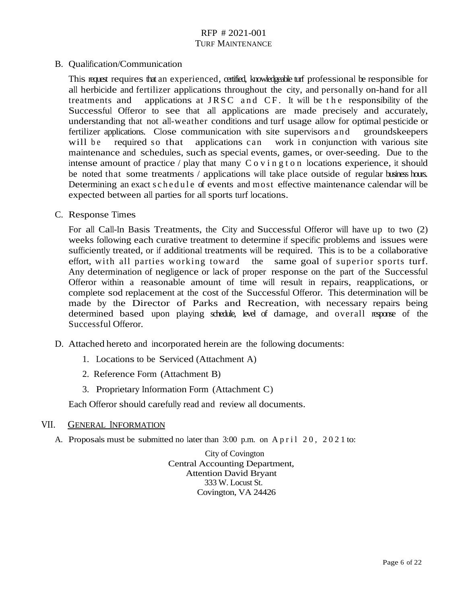B. Qualification/Communication

This request requires that an experienced, certified, knowledgeable turf professional be responsible for all herbicide and fertilizer applications throughout the city, and personally on-hand for all treatments and applications at JRSC and CF. It will be the responsibility of the Successful Offeror to see that all applications are made precisely and accurately, understanding that not all-weather conditions and turf usage allow for optimal pesticide or fertilizer applications. Close communication with site supervisors and groundskeepers will be required so that applications can work in conjunction with various site maintenance and schedules, such as special events, games, or over-seeding. Due to the intense amount of practice  $\ell$  play that many C o v i n g t o n locations experience, it should be noted that some treatments / applications will take place outside of regular business hours. Determining an exact schedule of events and most effective maintenance calendar will be expected between all parties for all sports turf locations.

C. Response Times

For all Call-In Basis Treatments, the City and Successful Offeror will have up to two (2) weeks following each curative treatment to determine if specific problems and issues were sufficiently treated, or if additional treatments will be required. This is to be a collaborative effort, with all parties working toward the same goal of superior sports turf. Any determination of negligence or lack of proper response on the part of the Successful Offeror within a reasonable amount of time will result in repairs, reapplications, or complete sod replacement at the cost of the Successful Offeror. This determination will be made by the Director of Parks and Recreation, with necessary repairs being determined based upon playing schedule, level of damage, and overall response of the Successful Offeror.

- D. Attached hereto and incorporated herein are the following documents:
	- 1. Locations to be Serviced (Attachment A)
	- 2. Reference Form (Attachment B)
	- 3. Proprietary Information Form (Attachment C)

Each Offeror should carefully read and review all documents.

#### VII. GENERAL INFORMATION

A. Proposals must be submitted no later than 3:00 p.m. on April 20, 2021 to:

City of Covington Central Accounting Department, Attention David Bryant 333 W. Locust St. Covington, VA 24426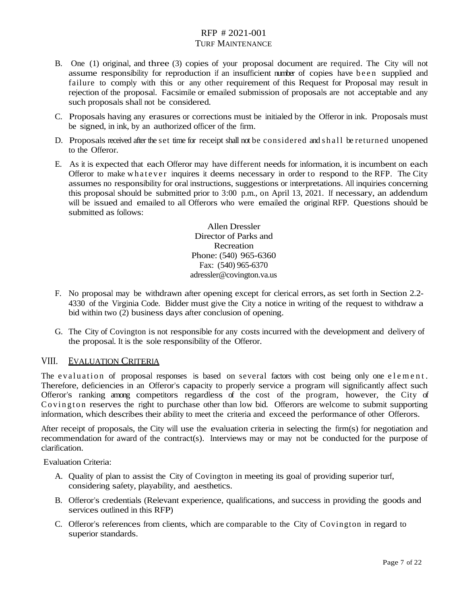- B. One (1) original, and three (3) copies of your proposal document are required. The City will not assume responsibility for reproduction if an insufficient number of copies have been supplied and failure to comply with this or any other requirement of this Request for Proposal may result in rejection of the proposal. Facsimile or emailed submission of proposals are not acceptable and any such proposals shall not be considered.
- C. Proposals having any erasures or corrections must be initialed by the Offeror in ink. Proposals must be signed, in ink, by an authorized officer of the firm.
- D. Proposals received after the set time for receipt shall not be considered and shall be returned unopened to the Offeror.
- E. As it is expected that each Offeror may have different needs for information, it is incumbent on each Offeror to make whatever inquires it deems necessary in order to respond to the RFP. The City assumes no responsibility for oral instructions, suggestions or interpretations. All inquiries concerning this proposal should be submitted prior to 3:00 p.m., on April 13, 2021. If necessary, an addendum will be issued and emailed to all Offerors who were emailed the original RFP. Questions should be submitted as follows:

Allen Dressler Director of Parks and Recreation Phone: (540) 965-6360 Fax: (540) 965-6370 adressler@covington.va.us

- F. No proposal may be withdrawn after opening except for clerical errors, as set forth in Section 2.2- 4330 of the Virginia Code. Bidder must give the City a notice in writing of the request to withdraw a bid within two (2) business days after conclusion of opening.
- G. The City of Covington is not responsible for any costs incurred with the development and delivery of the proposal. It is the sole responsibility of the Offeror.

#### VIII. EVALUATION CRITERIA

The evaluation of proposal responses is based on several factors with cost being only one element. Therefore, deficiencies in an Offeror's capacity to properly service a program will significantly affect such Offeror's ranking among competitors regardless of the cost of the program, however, the City of Covington reserves the right to purchase other than low bid. Offerors are welcome to submit supporting information, which describes their ability to meet the criteria and exceed the performance of other Offerors.

After receipt of proposals, the City will use the evaluation criteria in selecting the firm(s) for negotiation and recommendation for award of the contract(s). Interviews may or may not be conducted for the purpose of clarification.

Evaluation Criteria:

- A. Quality of plan to assist the City of Covington in meeting its goal of providing superior turf, considering safety, playability, and aesthetics.
- B. Offeror's credentials (Relevant experience, qualifications, and success in providing the goods and services outlined in this RFP)
- C. Offeror's references from clients, which are comparable to the City of Covington in regard to superior standards.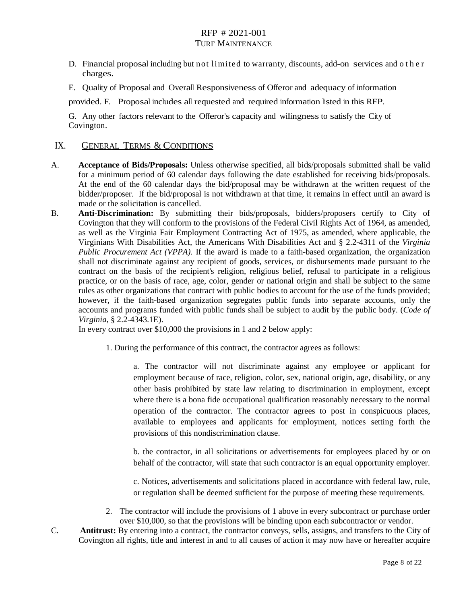- D. Financial proposal including but not limited to warranty, discounts, add-on services and other charges.
- E. Quality of Proposal and Overall Responsiveness of Offeror and adequacy of information

provided. F. Proposal includes all requested and required information listed in this RFP.

G. Any other factors relevant to the Offeror's capacity and willingness to satisfy the City of Covington.

#### IX. GENERAL TERMS & CONDITIONS

- A. **Acceptance of Bids/Proposals:** Unless otherwise specified, all bids/proposals submitted shall be valid for a minimum period of 60 calendar days following the date established for receiving bids/proposals. At the end of the 60 calendar days the bid/proposal may be withdrawn at the written request of the bidder/proposer. If the bid/proposal is not withdrawn at that time, it remains in effect until an award is made or the solicitation is cancelled.
- B. **Anti-Discrimination:** By submitting their bids/proposals, bidders/proposers certify to City of Covington that they will conform to the provisions of the Federal Civil Rights Act of 1964, as amended, as well as the Virginia Fair Employment Contracting Act of 1975, as amended, where applicable, the Virginians With Disabilities Act, the Americans With Disabilities Act and § 2.2-4311 of the *Virginia Public Procurement Act (VPPA).* If the award is made to a faith-based organization, the organization shall not discriminate against any recipient of goods, services, or disbursements made pursuant to the contract on the basis of the recipient's religion, religious belief, refusal to participate in a religious practice, or on the basis of race, age, color, gender or national origin and shall be subject to the same rules as other organizations that contract with public bodies to account for the use of the funds provided; however, if the faith-based organization segregates public funds into separate accounts, only the accounts and programs funded with public funds shall be subject to audit by the public body. (*Code of Virginia*, § 2.2-4343.1E).

In every contract over \$10,000 the provisions in 1 and 2 below apply:

1. During the performance of this contract, the contractor agrees as follows:

a. The contractor will not discriminate against any employee or applicant for employment because of race, religion, color, sex, national origin, age, disability, or any other basis prohibited by state law relating to discrimination in employment, except where there is a bona fide occupational qualification reasonably necessary to the normal operation of the contractor. The contractor agrees to post in conspicuous places, available to employees and applicants for employment, notices setting forth the provisions of this nondiscrimination clause.

b. the contractor, in all solicitations or advertisements for employees placed by or on behalf of the contractor, will state that such contractor is an equal opportunity employer.

c. Notices, advertisements and solicitations placed in accordance with federal law, rule, or regulation shall be deemed sufficient for the purpose of meeting these requirements.

- 2. The contractor will include the provisions of 1 above in every subcontract or purchase order over \$10,000, so that the provisions will be binding upon each subcontractor or vendor.
- C. **Antitrust:** By entering into a contract, the contractor conveys, sells, assigns, and transfers to the City of Covington all rights, title and interest in and to all causes of action it may now have or hereafter acquire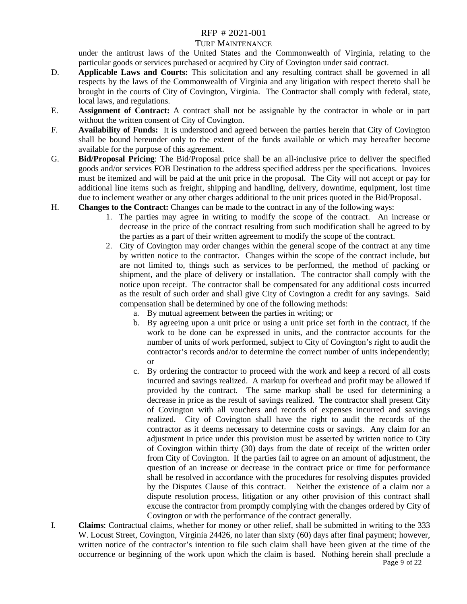#### TURF MAINTENANCE

under the antitrust laws of the United States and the Commonwealth of Virginia, relating to the particular goods or services purchased or acquired by City of Covington under said contract.

- D. **Applicable Laws and Courts:** This solicitation and any resulting contract shall be governed in all respects by the laws of the Commonwealth of Virginia and any litigation with respect thereto shall be brought in the courts of City of Covington, Virginia. The Contractor shall comply with federal, state, local laws, and regulations.
- E. **Assignment of Contract:** A contract shall not be assignable by the contractor in whole or in part without the written consent of City of Covington.
- F. **Availability of Funds:** It is understood and agreed between the parties herein that City of Covington shall be bound hereunder only to the extent of the funds available or which may hereafter become available for the purpose of this agreement.
- G. **Bid/Proposal Pricing**: The Bid/Proposal price shall be an all-inclusive price to deliver the specified goods and/or services FOB Destination to the address specified address per the specifications. Invoices must be itemized and will be paid at the unit price in the proposal. The City will not accept or pay for additional line items such as freight, shipping and handling, delivery, downtime, equipment, lost time due to inclement weather or any other charges additional to the unit prices quoted in the Bid/Proposal.
- H. **Changes to the Contract:** Changes can be made to the contract in any of the following ways:
	- 1. The parties may agree in writing to modify the scope of the contract. An increase or decrease in the price of the contract resulting from such modification shall be agreed to by the parties as a part of their written agreement to modify the scope of the contract.
	- 2. City of Covington may order changes within the general scope of the contract at any time by written notice to the contractor. Changes within the scope of the contract include, but are not limited to, things such as services to be performed, the method of packing or shipment, and the place of delivery or installation. The contractor shall comply with the notice upon receipt. The contractor shall be compensated for any additional costs incurred as the result of such order and shall give City of Covington a credit for any savings. Said compensation shall be determined by one of the following methods:
		- a. By mutual agreement between the parties in writing; or
		- b. By agreeing upon a unit price or using a unit price set forth in the contract, if the work to be done can be expressed in units, and the contractor accounts for the number of units of work performed, subject to City of Covington's right to audit the contractor's records and/or to determine the correct number of units independently; or
		- c. By ordering the contractor to proceed with the work and keep a record of all costs incurred and savings realized. A markup for overhead and profit may be allowed if provided by the contract. The same markup shall be used for determining a decrease in price as the result of savings realized. The contractor shall present City of Covington with all vouchers and records of expenses incurred and savings realized. City of Covington shall have the right to audit the records of the contractor as it deems necessary to determine costs or savings. Any claim for an adjustment in price under this provision must be asserted by written notice to City of Covington within thirty (30) days from the date of receipt of the written order from City of Covington. If the parties fail to agree on an amount of adjustment, the question of an increase or decrease in the contract price or time for performance shall be resolved in accordance with the procedures for resolving disputes provided by the Disputes Clause of this contract. Neither the existence of a claim nor a dispute resolution process, litigation or any other provision of this contract shall excuse the contractor from promptly complying with the changes ordered by City of Covington or with the performance of the contract generally.
- Page 9 of 22 I. **Claims**: Contractual claims, whether for money or other relief, shall be submitted in writing to the 333 W. Locust Street, Covington, Virginia 24426, no later than sixty (60) days after final payment; however, written notice of the contractor's intention to file such claim shall have been given at the time of the occurrence or beginning of the work upon which the claim is based. Nothing herein shall preclude a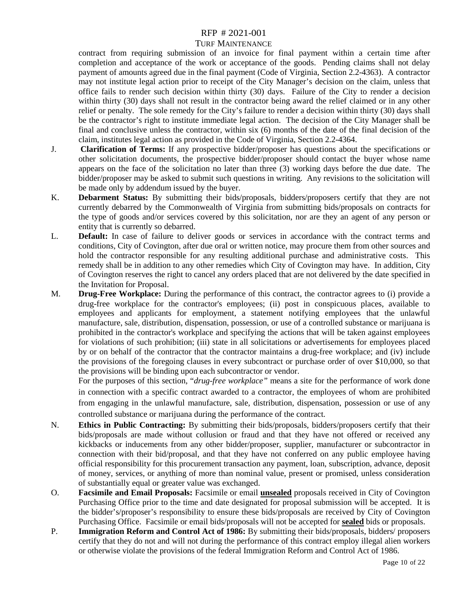#### TURF MAINTENANCE

contract from requiring submission of an invoice for final payment within a certain time after completion and acceptance of the work or acceptance of the goods. Pending claims shall not delay payment of amounts agreed due in the final payment (Code of Virginia, Section 2.2-4363). A contractor may not institute legal action prior to receipt of the City Manager's decision on the claim, unless that office fails to render such decision within thirty (30) days. Failure of the City to render a decision within thirty (30) days shall not result in the contractor being award the relief claimed or in any other relief or penalty. The sole remedy for the City's failure to render a decision within thirty (30) days shall be the contractor's right to institute immediate legal action. The decision of the City Manager shall be final and conclusive unless the contractor, within six (6) months of the date of the final decision of the claim, institutes legal action as provided in the Code of Virginia, Section 2.2-4364.

- J. **Clarification of Terms:** If any prospective bidder/proposer has questions about the specifications or other solicitation documents, the prospective bidder/proposer should contact the buyer whose name appears on the face of the solicitation no later than three (3) working days before the due date. The bidder/proposer may be asked to submit such questions in writing. Any revisions to the solicitation will be made only by addendum issued by the buyer.
- K. **Debarment Status:** By submitting their bids/proposals, bidders/proposers certify that they are not currently debarred by the Commonwealth of Virginia from submitting bids/proposals on contracts for the type of goods and/or services covered by this solicitation, nor are they an agent of any person or entity that is currently so debarred.
- L. **Default:** In case of failure to deliver goods or services in accordance with the contract terms and conditions, City of Covington, after due oral or written notice, may procure them from other sources and hold the contractor responsible for any resulting additional purchase and administrative costs. This remedy shall be in addition to any other remedies which City of Covington may have. In addition, City of Covington reserves the right to cancel any orders placed that are not delivered by the date specified in the Invitation for Proposal.
- M. **Drug-Free Workplace:** During the performance of this contract, the contractor agrees to (i) provide a drug-free workplace for the contractor's employees; (ii) post in conspicuous places, available to employees and applicants for employment, a statement notifying employees that the unlawful manufacture, sale, distribution, dispensation, possession, or use of a controlled substance or marijuana is prohibited in the contractor's workplace and specifying the actions that will be taken against employees for violations of such prohibition; (iii) state in all solicitations or advertisements for employees placed by or on behalf of the contractor that the contractor maintains a drug-free workplace; and (iv) include the provisions of the foregoing clauses in every subcontract or purchase order of over \$10,000, so that the provisions will be binding upon each subcontractor or vendor.

For the purposes of this section, "*drug-free workplace"* means a site for the performance of work done in connection with a specific contract awarded to a contractor, the employees of whom are prohibited from engaging in the unlawful manufacture, sale, distribution, dispensation, possession or use of any controlled substance or marijuana during the performance of the contract.

- N. **Ethics in Public Contracting:** By submitting their bids/proposals, bidders/proposers certify that their bids/proposals are made without collusion or fraud and that they have not offered or received any kickbacks or inducements from any other bidder/proposer, supplier, manufacturer or subcontractor in connection with their bid/proposal, and that they have not conferred on any public employee having official responsibility for this procurement transaction any payment, loan, subscription, advance, deposit of money, services, or anything of more than nominal value, present or promised, unless consideration of substantially equal or greater value was exchanged.
- O. **Facsimile and Email Proposals:** Facsimile or email **unsealed** proposals received in City of Covington Purchasing Office prior to the time and date designated for proposal submission will be accepted. It is the bidder's/proposer's responsibility to ensure these bids/proposals are received by City of Covington Purchasing Office. Facsimile or email bids/proposals will not be accepted for **sealed** bids or proposals.
- P. **Immigration Reform and Control Act of 1986:** By submitting their bids/proposals, bidders/ proposers certify that they do not and will not during the performance of this contract employ illegal alien workers or otherwise violate the provisions of the federal Immigration Reform and Control Act of 1986.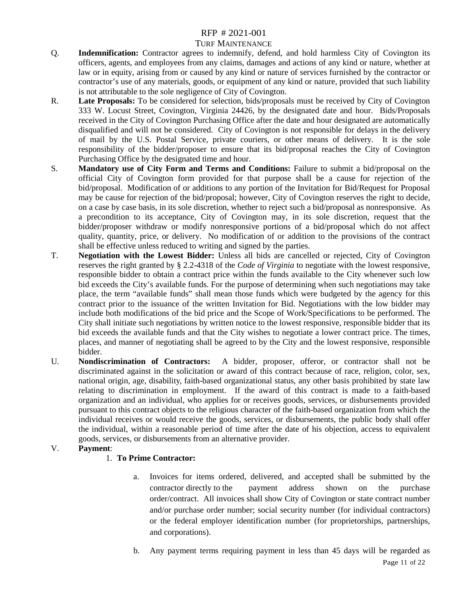#### TURF MAINTENANCE

- Q. **Indemnification:** Contractor agrees to indemnify, defend, and hold harmless City of Covington its officers, agents, and employees from any claims, damages and actions of any kind or nature, whether at law or in equity, arising from or caused by any kind or nature of services furnished by the contractor or contractor's use of any materials, goods, or equipment of any kind or nature, provided that such liability is not attributable to the sole negligence of City of Covington.
- R. **Late Proposals:** To be considered for selection, bids/proposals must be received by City of Covington 333 W. Locust Street, Covington, Virginia 24426, by the designated date and hour. Bids/Proposals received in the City of Covington Purchasing Office after the date and hour designated are automatically disqualified and will not be considered. City of Covington is not responsible for delays in the delivery of mail by the U.S. Postal Service, private couriers, or other means of delivery. It is the sole responsibility of the bidder/proposer to ensure that its bid/proposal reaches the City of Covington Purchasing Office by the designated time and hour.
- S. **Mandatory use of City Form and Terms and Conditions:** Failure to submit a bid/proposal on the official City of Covington form provided for that purpose shall be a cause for rejection of the bid/proposal. Modification of or additions to any portion of the Invitation for Bid/Request for Proposal may be cause for rejection of the bid/proposal; however, City of Covington reserves the right to decide, on a case by case basis, in its sole discretion, whether to reject such a bid/proposal as nonresponsive. As a precondition to its acceptance, City of Covington may, in its sole discretion, request that the bidder/proposer withdraw or modify nonresponsive portions of a bid/proposal which do not affect quality, quantity, price, or delivery. No modification of or addition to the provisions of the contract shall be effective unless reduced to writing and signed by the parties.
- T. **Negotiation with the Lowest Bidder:** Unless all bids are cancelled or rejected, City of Covington reserves the right granted by § 2.2-4318 of the *Code of Virginia* to negotiate with the lowest responsive, responsible bidder to obtain a contract price within the funds available to the City whenever such low bid exceeds the City's available funds. For the purpose of determining when such negotiations may take place, the term "available funds" shall mean those funds which were budgeted by the agency for this contract prior to the issuance of the written Invitation for Bid. Negotiations with the low bidder may include both modifications of the bid price and the Scope of Work/Specifications to be performed. The City shall initiate such negotiations by written notice to the lowest responsive, responsible bidder that its bid exceeds the available funds and that the City wishes to negotiate a lower contract price. The times, places, and manner of negotiating shall be agreed to by the City and the lowest responsive, responsible bidder.
- U. **Nondiscrimination of Contractors:** A bidder, proposer, offeror, or contractor shall not be discriminated against in the solicitation or award of this contract because of race, religion, color, sex, national origin, age, disability, faith-based organizational status, any other basis prohibited by state law relating to discrimination in employment. If the award of this contract is made to a faith-based organization and an individual, who applies for or receives goods, services, or disbursements provided pursuant to this contract objects to the religious character of the faith-based organization from which the individual receives or would receive the goods, services, or disbursements, the public body shall offer the individual, within a reasonable period of time after the date of his objection, access to equivalent goods, services, or disbursements from an alternative provider.
- V. **Payment**:

#### 1. **To Prime Contractor:**

- a. Invoices for items ordered, delivered, and accepted shall be submitted by the contractor directly to the payment address shown on the purchase order/contract. All invoices shall show City of Covington or state contract number and/or purchase order number; social security number (for individual contractors) or the federal employer identification number (for proprietorships, partnerships, and corporations).
- Page 11 of 22 b. Any payment terms requiring payment in less than 45 days will be regarded as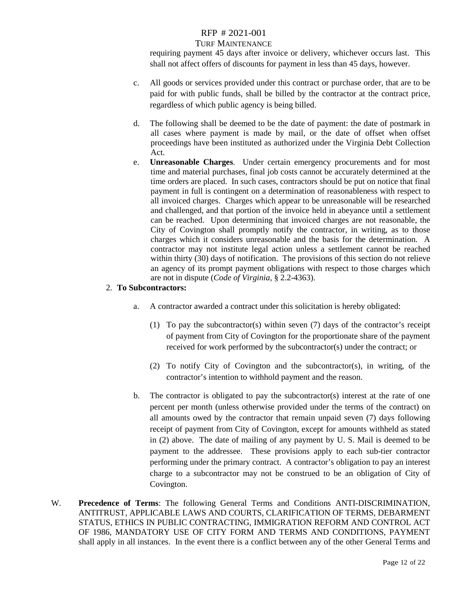#### TURF MAINTENANCE

requiring payment 45 days after invoice or delivery, whichever occurs last. This shall not affect offers of discounts for payment in less than 45 days, however.

- c. All goods or services provided under this contract or purchase order, that are to be paid for with public funds, shall be billed by the contractor at the contract price, regardless of which public agency is being billed.
- d. The following shall be deemed to be the date of payment: the date of postmark in all cases where payment is made by mail, or the date of offset when offset proceedings have been instituted as authorized under the Virginia Debt Collection Act.
- e. **Unreasonable Charges**. Under certain emergency procurements and for most time and material purchases, final job costs cannot be accurately determined at the time orders are placed. In such cases, contractors should be put on notice that final payment in full is contingent on a determination of reasonableness with respect to all invoiced charges. Charges which appear to be unreasonable will be researched and challenged, and that portion of the invoice held in abeyance until a settlement can be reached. Upon determining that invoiced charges are not reasonable, the City of Covington shall promptly notify the contractor, in writing, as to those charges which it considers unreasonable and the basis for the determination. A contractor may not institute legal action unless a settlement cannot be reached within thirty (30) days of notification. The provisions of this section do not relieve an agency of its prompt payment obligations with respect to those charges which are not in dispute (*Code of Virginia,* § 2.2-4363).

#### 2. **To Subcontractors:**

- a. A contractor awarded a contract under this solicitation is hereby obligated:
	- (1) To pay the subcontractor(s) within seven (7) days of the contractor's receipt of payment from City of Covington for the proportionate share of the payment received for work performed by the subcontractor(s) under the contract; or
	- (2) To notify City of Covington and the subcontractor(s), in writing, of the contractor's intention to withhold payment and the reason.
- b. The contractor is obligated to pay the subcontractor(s) interest at the rate of one percent per month (unless otherwise provided under the terms of the contract) on all amounts owed by the contractor that remain unpaid seven (7) days following receipt of payment from City of Covington, except for amounts withheld as stated in (2) above. The date of mailing of any payment by U. S. Mail is deemed to be payment to the addressee. These provisions apply to each sub-tier contractor performing under the primary contract. A contractor's obligation to pay an interest charge to a subcontractor may not be construed to be an obligation of City of Covington.
- W. **Precedence of Terms**: The following General Terms and Conditions ANTI-DISCRIMINATION, ANTITRUST, APPLICABLE LAWS AND COURTS, CLARIFICATION OF TERMS, DEBARMENT STATUS, ETHICS IN PUBLIC CONTRACTING, IMMIGRATION REFORM AND CONTROL ACT OF 1986, MANDATORY USE OF CITY FORM AND TERMS AND CONDITIONS, PAYMENT shall apply in all instances. In the event there is a conflict between any of the other General Terms and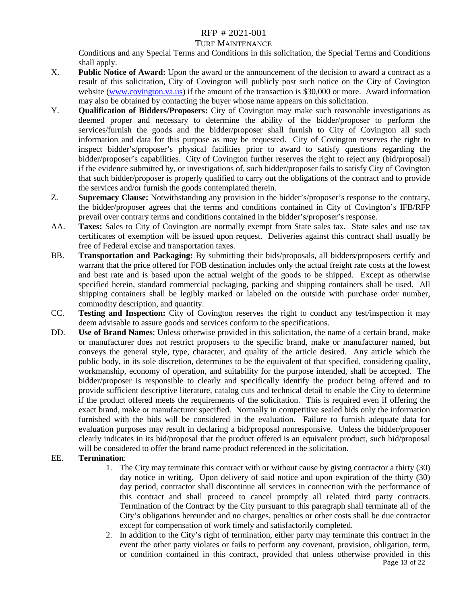#### TURF MAINTENANCE

Conditions and any Special Terms and Conditions in this solicitation, the Special Terms and Conditions shall apply.

- X. **Public Notice of Award:** Upon the award or the announcement of the decision to award a contract as a result of this solicitation, City of Covington will publicly post such notice on the City of Covington website [\(www.covington.va.us\)](http://www.covington.va.us/) if the amount of the transaction is \$30,000 or more. Award information may also be obtained by contacting the buyer whose name appears on this solicitation.
- Y. **Qualification of Bidders/Proposers:** City of Covington may make such reasonable investigations as deemed proper and necessary to determine the ability of the bidder/proposer to perform the services/furnish the goods and the bidder/proposer shall furnish to City of Covington all such information and data for this purpose as may be requested. City of Covington reserves the right to inspect bidder's/proposer's physical facilities prior to award to satisfy questions regarding the bidder/proposer's capabilities. City of Covington further reserves the right to reject any (bid/proposal) if the evidence submitted by, or investigations of, such bidder/proposer fails to satisfy City of Covington that such bidder/proposer is properly qualified to carry out the obligations of the contract and to provide the services and/or furnish the goods contemplated therein.
- Z. **Supremacy Clause:** Notwithstanding any provision in the bidder's/proposer's response to the contrary, the bidder/proposer agrees that the terms and conditions contained in City of Covington's IFB/RFP prevail over contrary terms and conditions contained in the bidder's/proposer's response.
- AA. **Taxes:** Sales to City of Covington are normally exempt from State sales tax. State sales and use tax certificates of exemption will be issued upon request. Deliveries against this contract shall usually be free of Federal excise and transportation taxes.
- BB. **Transportation and Packaging:** By submitting their bids/proposals, all bidders/proposers certify and warrant that the price offered for FOB destination includes only the actual freight rate costs at the lowest and best rate and is based upon the actual weight of the goods to be shipped. Except as otherwise specified herein, standard commercial packaging, packing and shipping containers shall be used. All shipping containers shall be legibly marked or labeled on the outside with purchase order number, commodity description, and quantity.
- CC. **Testing and Inspection:** City of Covington reserves the right to conduct any test/inspection it may deem advisable to assure goods and services conform to the specifications.
- DD. **Use of Brand Names**: Unless otherwise provided in this solicitation, the name of a certain brand, make or manufacturer does not restrict proposers to the specific brand, make or manufacturer named, but conveys the general style, type, character, and quality of the article desired. Any article which the public body, in its sole discretion, determines to be the equivalent of that specified, considering quality, workmanship, economy of operation, and suitability for the purpose intended, shall be accepted. The bidder/proposer is responsible to clearly and specifically identify the product being offered and to provide sufficient descriptive literature, catalog cuts and technical detail to enable the City to determine if the product offered meets the requirements of the solicitation. This is required even if offering the exact brand, make or manufacturer specified. Normally in competitive sealed bids only the information furnished with the bids will be considered in the evaluation. Failure to furnish adequate data for evaluation purposes may result in declaring a bid/proposal nonresponsive. Unless the bidder/proposer clearly indicates in its bid/proposal that the product offered is an equivalent product, such bid/proposal will be considered to offer the brand name product referenced in the solicitation.

#### EE. **Termination**:

- 1. The City may terminate this contract with or without cause by giving contractor a thirty (30) day notice in writing. Upon delivery of said notice and upon expiration of the thirty (30) day period, contractor shall discontinue all services in connection with the performance of this contract and shall proceed to cancel promptly all related third party contracts. Termination of the Contract by the City pursuant to this paragraph shall terminate all of the City's obligations hereunder and no charges, penalties or other costs shall be due contractor except for compensation of work timely and satisfactorily completed.
- Page 13 of 22 2. In addition to the City's right of termination, either party may terminate this contract in the event the other party violates or fails to perform any covenant, provision, obligation, term, or condition contained in this contract, provided that unless otherwise provided in this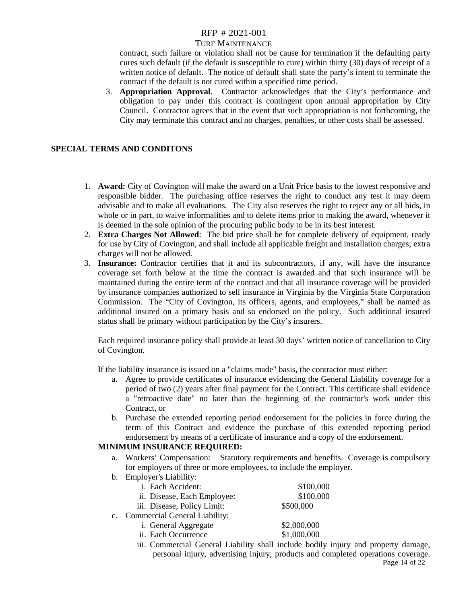#### TURF MAINTENANCE

contract, such failure or violation shall not be cause for termination if the defaulting party cures such default (if the default is susceptible to cure) within thirty (30) days of receipt of a written notice of default. The notice of default shall state the party's intent to terminate the contract if the default is not cured within a specified time period.

3. **Appropriation Approval**. Contractor acknowledges that the City's performance and obligation to pay under this contract is contingent upon annual appropriation by City Council. Contractor agrees that in the event that such appropriation is not forthcoming, the City may terminate this contract and no charges, penalties, or other costs shall be assessed.

#### **SPECIAL TERMS AND CONDITONS**

- 1. **Award:** City of Covington will make the award on a Unit Price basis to the lowest responsive and responsible bidder. The purchasing office reserves the right to conduct any test it may deem advisable and to make all evaluations. The City also reserves the right to reject any or all bids, in whole or in part, to waive informalities and to delete items prior to making the award, whenever it is deemed in the sole opinion of the procuring public body to be in its best interest.
- 2. **Extra Charges Not Allowed**: The bid price shall be for complete delivery of equipment, ready for use by City of Covington, and shall include all applicable freight and installation charges; extra charges will not be allowed.
- 3. **Insurance:** Contractor certifies that it and its subcontractors, if any, will have the insurance coverage set forth below at the time the contract is awarded and that such insurance will be maintained during the entire term of the contract and that all insurance coverage will be provided by insurance companies authorized to sell insurance in Virginia by the Virginia State Corporation Commission. The "City of Covington, its officers, agents, and employees," shall be named as additional insured on a primary basis and so endorsed on the policy. Such additional insured status shall be primary without participation by the City's insurers.

Each required insurance policy shall provide at least 30 days' written notice of cancellation to City of Covington.

If the liability insurance is issued on a "claims made" basis, the contractor must either:

- a. Agree to provide certificates of insurance evidencing the General Liability coverage for a period of two (2) years after final payment for the Contract. This certificate shall evidence a "retroactive date" no later than the beginning of the contractor's work under this Contract, or
- b. Purchase the extended reporting period endorsement for the policies in force during the term of this Contract and evidence the purchase of this extended reporting period endorsement by means of a certificate of insurance and a copy of the endorsement.

#### **MINIMUM INSURANCE REQUIRED:**

- a. Workers' Compensation: Statutory requirements and benefits. Coverage is compulsory for employers of three or more employees, to include the employer.
- b. Employer's Liability:

|                | i. Each Accident:                    | \$100,000   |
|----------------|--------------------------------------|-------------|
|                | ii. Disease, Each Employee:          | \$100,000   |
|                | iii. Disease, Policy Limit:          | \$500,000   |
| $\mathbf{c}$ . | <b>Commercial General Liability:</b> |             |
|                | i. General Aggregate                 | \$2,000,000 |
|                | ii. Each Occurrence                  | \$1,000,000 |
|                |                                      |             |

Page 14 of 22 iii. Commercial General Liability shall include bodily injury and property damage, personal injury, advertising injury, products and completed operations coverage.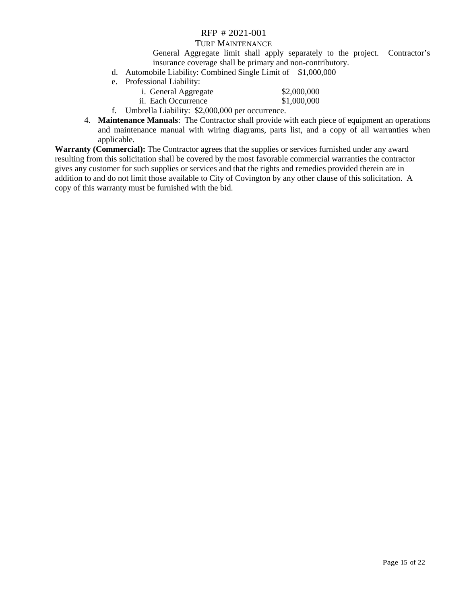#### TURF MAINTENANCE

General Aggregate limit shall apply separately to the project. Contractor's insurance coverage shall be primary and non-contributory.

- d. Automobile Liability: Combined Single Limit of \$1,000,000
- e. Professional Liability:

| i. General Aggregate | \$2,000,000 |
|----------------------|-------------|
| ii. Each Occurrence  | \$1,000,000 |

- f. Umbrella Liability: \$2,000,000 per occurrence.
- 4. **Maintenance Manuals**: The Contractor shall provide with each piece of equipment an operations and maintenance manual with wiring diagrams, parts list, and a copy of all warranties when applicable.

**Warranty (Commercial):** The Contractor agrees that the supplies or services furnished under any award resulting from this solicitation shall be covered by the most favorable commercial warranties the contractor gives any customer for such supplies or services and that the rights and remedies provided therein are in addition to and do not limit those available to City of Covington by any other clause of this solicitation. A copy of this warranty must be furnished with the bid.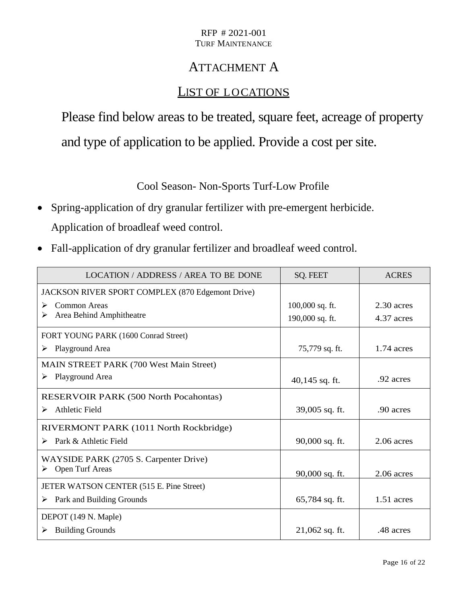## ATTACHMENT A

### LIST OF LOCATIONS

Please find below areas to be treated, square feet, acreage of property and type of application to be applied. Provide a cost per site.

Cool Season- Non-Sports Turf-Low Profile

- Spring-application of dry granular fertilizer with pre-emergent herbicide. Application of broadleaf weed control.
- Fall-application of dry granular fertilizer and broadleaf weed control.

| <b>LOCATION / ADDRESS / AREA TO BE DONE</b>      | <b>SQ. FEET</b>   | <b>ACRES</b> |
|--------------------------------------------------|-------------------|--------------|
| JACKSON RIVER SPORT COMPLEX (870 Edgemont Drive) |                   |              |
| Common Areas<br>➤                                | $100,000$ sq. ft. | $2.30$ acres |
| Area Behind Amphitheatre<br>➤                    | 190,000 sq. ft.   | 4.37 acres   |
| FORT YOUNG PARK (1600 Conrad Street)             |                   |              |
| Playground Area<br>➤                             | 75,779 sq. ft.    | $1.74$ acres |
| <b>MAIN STREET PARK (700 West Main Street)</b>   |                   |              |
| Playground Area<br>➤                             | $40,145$ sq. ft.  | .92 acres    |
| <b>RESERVOIR PARK (500 North Pocahontas)</b>     |                   |              |
| <b>Athletic Field</b><br>➤                       | 39,005 sq. ft.    | .90 acres    |
| RIVERMONT PARK (1011 North Rockbridge)           |                   |              |
| Park & Athletic Field<br>⋗                       | 90,000 sq. ft.    | $2.06$ acres |
| WAYSIDE PARK (2705 S. Carpenter Drive)           |                   |              |
| Open Turf Areas<br>➤                             | 90,000 sq. ft.    | 2.06 acres   |
| JETER WATSON CENTER (515 E. Pine Street)         |                   |              |
| Park and Building Grounds<br>➤                   | $65,784$ sq. ft.  | $1.51$ acres |
| DEPOT (149 N. Maple)                             |                   |              |
| <b>Building Grounds</b><br>➤                     | $21,062$ sq. ft.  | .48 acres    |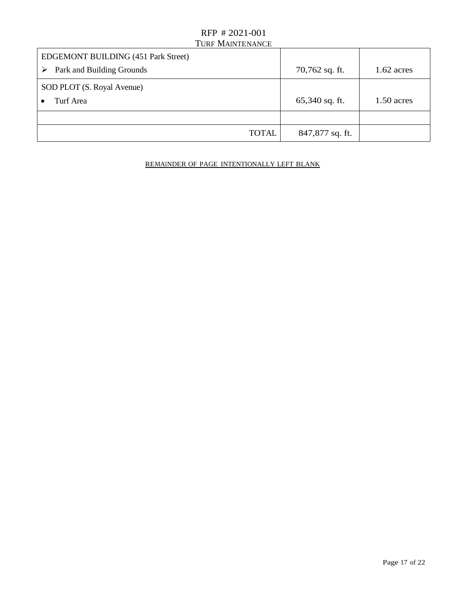| <b>EDGEMONT BUILDING (451 Park Street)</b> |                  |              |
|--------------------------------------------|------------------|--------------|
| Park and Building Grounds<br>➤             | $70,762$ sq. ft. | $1.62$ acres |
| SOD PLOT (S. Royal Avenue)                 |                  |              |
| Turf Area                                  | $65,340$ sq. ft. | $1.50$ acres |
|                                            |                  |              |
| <b>TOTAL</b>                               | 847,877 sq. ft.  |              |

#### REMAINDER OF PAGE INTENTIONALLY LEFT BLANK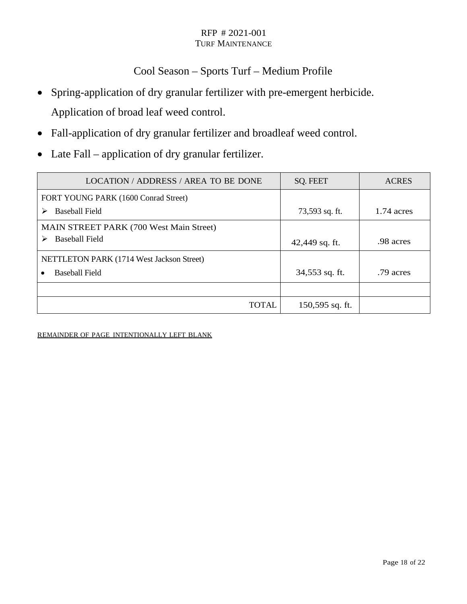### Cool Season – Sports Turf – Medium Profile

- Spring-application of dry granular fertilizer with pre-emergent herbicide. Application of broad leaf weed control.
- Fall-application of dry granular fertilizer and broadleaf weed control.
- Late Fall application of dry granular fertilizer.

| LOCATION / ADDRESS / AREA TO BE DONE           | <b>SQ. FEET</b> | <b>ACRES</b> |
|------------------------------------------------|-----------------|--------------|
| FORT YOUNG PARK (1600 Conrad Street)           |                 |              |
| Baseball Field<br>➤                            | 73,593 sq. ft.  | 1.74 acres   |
| <b>MAIN STREET PARK (700 West Main Street)</b> |                 |              |
| <b>Baseball Field</b><br>➤                     | 42,449 sq. ft.  | .98 acres    |
| NETTLETON PARK (1714 West Jackson Street)      |                 |              |
| Baseball Field                                 | 34,553 sq. ft.  | .79 acres    |
|                                                |                 |              |
| TOTAL                                          | 150,595 sq. ft. |              |

REMAINDER OF PAGE INTENTIONALLY LEFT BLANK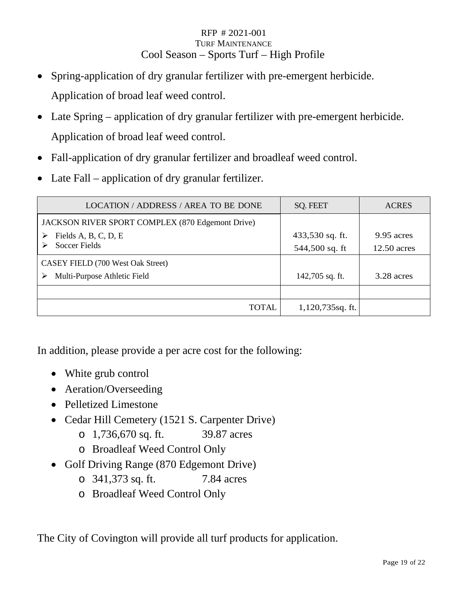#### RFP # 2021-001 TURF MAINTENANCE Cool Season – Sports Turf – High Profile

- Spring-application of dry granular fertilizer with pre-emergent herbicide. Application of broad leaf weed control.
- Late Spring application of dry granular fertilizer with pre-emergent herbicide. Application of broad leaf weed control.
- Fall-application of dry granular fertilizer and broadleaf weed control.
- Late Fall application of dry granular fertilizer.

| LOCATION / ADDRESS / AREA TO BE DONE             | <b>SQ. FEET</b>  | <b>ACRES</b>  |
|--------------------------------------------------|------------------|---------------|
| JACKSON RIVER SPORT COMPLEX (870 Edgemont Drive) |                  |               |
| Fields A, B, C, D, E                             | 433,530 sq. ft.  | 9.95 acres    |
| <b>Soccer Fields</b>                             | 544,500 sq. ft   | $12.50$ acres |
| CASEY FIELD (700 West Oak Street)                |                  |               |
| Multi-Purpose Athletic Field<br>⋗                | 142,705 sq. ft.  | 3.28 acres    |
|                                                  |                  |               |
| <b>TOTAL</b>                                     | 1,120,735sq. ft. |               |

In addition, please provide a per acre cost for the following:

- White grub control
- Aeration/Overseeding
- Pelletized Limestone
- Cedar Hill Cemetery (1521 S. Carpenter Drive)
	- o 1,736,670 sq. ft. 39.87 acres
	- o Broadleaf Weed Control Only
- Golf Driving Range (870 Edgemont Drive)
	- o 341,373 sq. ft. 7.84 acres
	- o Broadleaf Weed Control Only

The City of Covington will provide all turf products for application.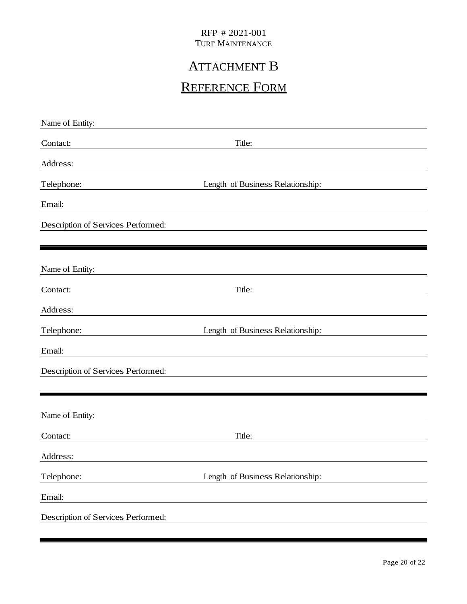# ATTACHMENT B

# REFERENCE FORM

| Name of Entity:                    |                                  |
|------------------------------------|----------------------------------|
| Contact:                           | Title:                           |
| Address:                           |                                  |
| Telephone:                         | Length of Business Relationship: |
| Email:                             |                                  |
| Description of Services Performed: |                                  |
|                                    |                                  |
| Name of Entity:                    |                                  |
| Contact:                           | Title:                           |
| Address:                           |                                  |
| Telephone:                         | Length of Business Relationship: |
| Email:                             |                                  |
| Description of Services Performed: |                                  |
|                                    |                                  |
| Name of Entity:                    |                                  |
| Contact:                           | Title:                           |
| Address:                           |                                  |
| Telephone:                         | Length of Business Relationship: |
| Email:                             |                                  |
| Description of Services Performed: |                                  |
|                                    |                                  |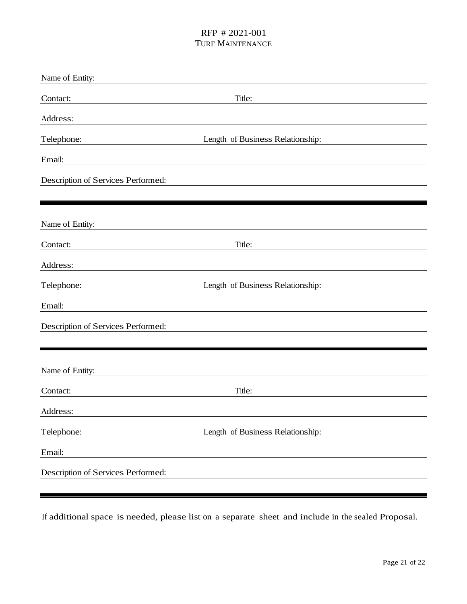| Name of Entity:                    |                                  |
|------------------------------------|----------------------------------|
| Contact:                           | Title:                           |
| Address:                           |                                  |
| Telephone:                         | Length of Business Relationship: |
| Email:                             |                                  |
| Description of Services Performed: |                                  |
|                                    |                                  |
| Name of Entity:                    |                                  |
| Contact:                           | Title:                           |
| Address:                           |                                  |
| Telephone:                         | Length of Business Relationship: |
| Email:                             |                                  |
| Description of Services Performed: |                                  |
|                                    |                                  |
| Name of Entity:                    |                                  |
| Contact:                           | Title:                           |
| Address:                           |                                  |
| Telephone:                         | Length of Business Relationship: |
| Email:                             |                                  |
| Description of Services Performed: |                                  |
|                                    |                                  |

If additional space is needed, please list on a separate sheet and include in the sealed Proposal.